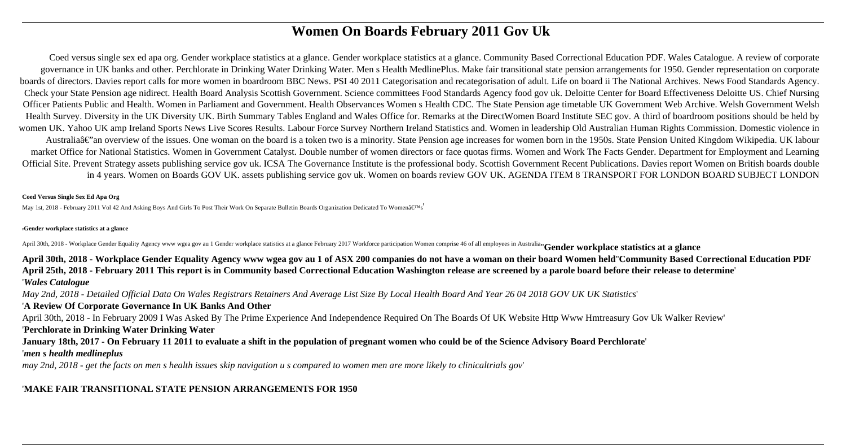# **Women On Boards February 2011 Gov Uk**

Coed versus single sex ed apa org. Gender workplace statistics at a glance. Gender workplace statistics at a glance. Community Based Correctional Education PDF. Wales Catalogue. A review of corporate governance in UK banks and other. Perchlorate in Drinking Water Drinking Water. Men s Health MedlinePlus. Make fair transitional state pension arrangements for 1950. Gender representation on corporate boards of directors. Davies report calls for more women in boardroom BBC News. PSI 40 2011 Categorisation and recategorisation of adult. Life on board ii The National Archives. News Food Standards Agency. Check your State Pension age nidirect. Health Board Analysis Scottish Government. Science committees Food Standards Agency food gov uk. Deloitte Center for Board Effectiveness Deloitte US. Chief Nursing Officer Patients Public and Health. Women in Parliament and Government. Health Observances Women s Health CDC. The State Pension age timetable UK Government Web Archive. Welsh Government Welsh Health Survey. Diversity in the UK Diversity UK. Birth Summary Tables England and Wales Office for. Remarks at the DirectWomen Board Institute SEC gov. A third of boardroom positions should be held by women UK. Yahoo UK amp Ireland Sports News Live Scores Results. Labour Force Survey Northern Ireland Statistics and. Women in leadership Old Australian Human Rights Commission. Domestic violence in Australiaâ€"an overview of the issues. One woman on the board is a token two is a minority. State Pension age increases for women born in the 1950s. State Pension United Kingdom Wikipedia. UK labour market Office for National Statistics. Women in Government Catalyst. Double number of women directors or face quotas firms. Women and Work The Facts Gender. Department for Employment and Learning Official Site. Prevent Strategy assets publishing service gov uk. ICSA The Governance Institute is the professional body. Scottish Government Recent Publications. Davies report Women on British boards double in 4 years. Women on Boards GOV UK. assets publishing service gov uk. Women on boards review GOV UK. AGENDA ITEM 8 TRANSPORT FOR LONDON BOARD SUBJECT LONDON

#### **Coed Versus Single Sex Ed Apa Org**

May 1st, 2018 - February 2011 Vol 42 And Asking Boys And Girls To Post Their Work On Separate Bulletin Boards Organization Dedicated To Women's'

#### '**Gender workplace statistics at a glance**

April 30th, 2018 - Workplace Gender Equality Agency www wgea gov au 1 Gender workplace statistics at a glance February 2017 Workforce participation Women comprise 46 of all employees in Australian Gender workplace statisti

**April 30th, 2018 - Workplace Gender Equality Agency www wgea gov au 1 of ASX 200 companies do not have a woman on their board Women held**''**Community Based Correctional Education PDF April 25th, 2018 - February 2011 This report is in Community based Correctional Education Washington release are screened by a parole board before their release to determine**' '*Wales Catalogue*

*May 2nd, 2018 - Detailed Official Data On Wales Registrars Retainers And Average List Size By Local Health Board And Year 26 04 2018 GOV UK UK Statistics*'

#### '**A Review Of Corporate Governance In UK Banks And Other**

April 30th, 2018 - In February 2009 I Was Asked By The Prime Experience And Independence Required On The Boards Of UK Website Http Www Hmtreasury Gov Uk Walker Review' '**Perchlorate in Drinking Water Drinking Water**

## **January 18th, 2017 - On February 11 2011 to evaluate a shift in the population of pregnant women who could be of the Science Advisory Board Perchlorate**'

#### '*men s health medlineplus*

*may 2nd, 2018 - get the facts on men s health issues skip navigation u s compared to women men are more likely to clinicaltrials gov*'

## '**MAKE FAIR TRANSITIONAL STATE PENSION ARRANGEMENTS FOR 1950**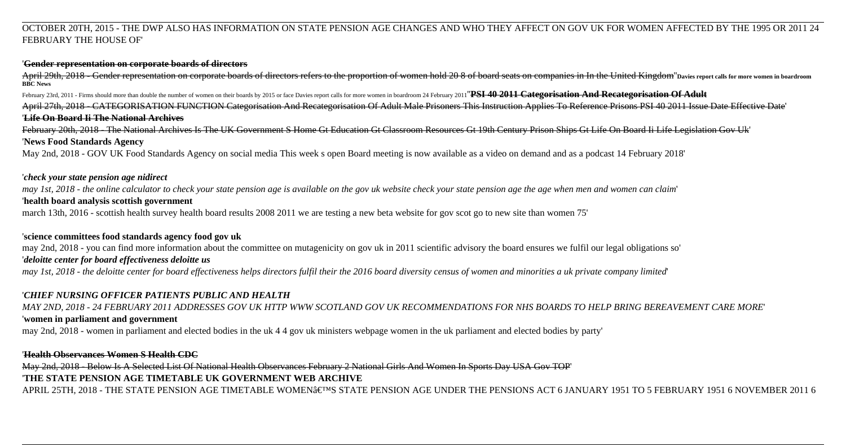## OCTOBER 20TH, 2015 - THE DWP ALSO HAS INFORMATION ON STATE PENSION AGE CHANGES AND WHO THEY AFFECT ON GOV UK FOR WOMEN AFFECTED BY THE 1995 OR 2011 24 FEBRUARY THE HOUSE OF'

#### '**Gender representation on corporate boards of directors**

April 29th, 2018 - Gender representation on corporate boards of directors refers to the proportion of women hold 20 8 of board seats on companies in In the United Kingdom"Davies report calls for more women in boardroom **BBC News**

February 23rd, 2011 - Firms should more than double the number of women on their boards by 2015 or face Davies report calls for more women in boardroom 24 February 2011"PSI 40 2011 Categorisation And Recategorisation Of Ad

April 27th, 2018 - CATEGORISATION FUNCTION Categorisation And Recategorisation Of Adult Male Prisoners This Instruction Applies To Reference Prisons PSI 40 2011 Issue Date Effective Date' '**Life On Board Ii The National Archives**

February 20th, 2018 - The National Archives Is The UK Government S Home Gt Education Gt Classroom Resources Gt 19th Century Prison Ships Gt Life On Board Ii Life Legislation Gov Uk' '**News Food Standards Agency**

May 2nd, 2018 - GOV UK Food Standards Agency on social media This week s open Board meeting is now available as a video on demand and as a podcast 14 February 2018'

## '*check your state pension age nidirect*

*may 1st, 2018 - the online calculator to check your state pension age is available on the gov uk website check your state pension age the age when men and women can claim*' '**health board analysis scottish government**

march 13th, 2016 - scottish health survey health board results 2008 2011 we are testing a new beta website for gov scot go to new site than women 75'

## '**science committees food standards agency food gov uk**

may 2nd, 2018 - you can find more information about the committee on mutagenicity on gov uk in 2011 scientific advisory the board ensures we fulfil our legal obligations so'

## '*deloitte center for board effectiveness deloitte us*

*may 1st, 2018 - the deloitte center for board effectiveness helps directors fulfil their the 2016 board diversity census of women and minorities a uk private company limited*'

## '*CHIEF NURSING OFFICER PATIENTS PUBLIC AND HEALTH*

*MAY 2ND, 2018 - 24 FEBRUARY 2011 ADDRESSES GOV UK HTTP WWW SCOTLAND GOV UK RECOMMENDATIONS FOR NHS BOARDS TO HELP BRING BEREAVEMENT CARE MORE*' '**women in parliament and government**

may 2nd, 2018 - women in parliament and elected bodies in the uk 4 4 gov uk ministers webpage women in the uk parliament and elected bodies by party'

## '**Health Observances Women S Health CDC**

May 2nd, 2018 - Below Is A Selected List Of National Health Observances February 2 National Girls And Women In Sports Day USA Gov TOP'

# '**THE STATE PENSION AGE TIMETABLE UK GOVERNMENT WEB ARCHIVE**

APRIL 25TH, 2018 - THE STATE PENSION AGE TIMETABLE WOMEN'S STATE PENSION AGE UNDER THE PENSIONS ACT 6 JANUARY 1951 TO 5 FEBRUARY 1951 6 NOVEMBER 2011 6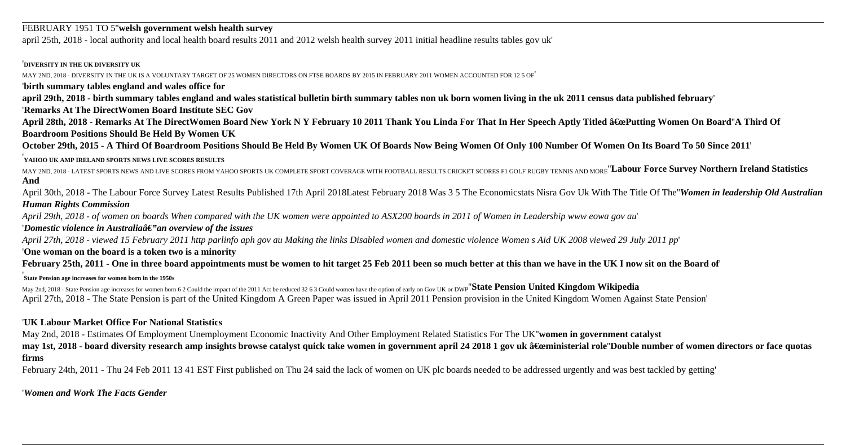#### FEBRUARY 1951 TO 5''**welsh government welsh health survey**

april 25th, 2018 - local authority and local health board results 2011 and 2012 welsh health survey 2011 initial headline results tables gov uk'

#### '**DIVERSITY IN THE UK DIVERSITY UK**

MAY 2ND, 2018 - DIVERSITY IN THE UK IS A VOLUNTARY TARGET OF 25 WOMEN DIRECTORS ON FTSE BOARDS BY 2015 IN FEBRUARY 2011 WOMEN ACCOUNTED FOR 12 5 OF'

'**birth summary tables england and wales office for**

**april 29th, 2018 - birth summary tables england and wales statistical bulletin birth summary tables non uk born women living in the uk 2011 census data published february**'

'**Remarks At The DirectWomen Board Institute SEC Gov**

April 28th, 2018 - Remarks At The DirectWomen Board New York N Y February 10 2011 Thank You Linda For That In Her Speech Aptly Titled "Putting Women On Board'A Third Of **Boardroom Positions Should Be Held By Women UK**

**October 29th, 2015 - A Third Of Boardroom Positions Should Be Held By Women UK Of Boards Now Being Women Of Only 100 Number Of Women On Its Board To 50 Since 2011**'

#### '**YAHOO UK AMP IRELAND SPORTS NEWS LIVE SCORES RESULTS**

MAY 2ND, 2018 - LATEST SPORTS NEWS AND LIVE SCORES FROM YAHOO SPORTS UK COMPLETE SPORT COVERAGE WITH FOOTBALL RESULTS CRICKET SCORES F1 GOLF RUGBY TENNIS AND MORE<sup>"</sup>**Labour Force Survey Northern Ireland Statistics And**

April 30th, 2018 - The Labour Force Survey Latest Results Published 17th April 2018Latest February 2018 Was 3 5 The Economicstats Nisra Gov Uk With The Title Of The''*Women in leadership Old Australian Human Rights Commission*

*April 29th, 2018 - of women on boards When compared with the UK women were appointed to ASX200 boards in 2011 of Women in Leadership www eowa gov au*'

#### 'Domestic violence in Australiaâ€" an overview of the issues

*April 27th, 2018 - viewed 15 February 2011 http parlinfo aph gov au Making the links Disabled women and domestic violence Women s Aid UK 2008 viewed 29 July 2011 pp*'

#### '**One woman on the board is a token two is a minority**

**February 25th, 2011 - One in three board appointments must be women to hit target 25 Feb 2011 been so much better at this than we have in the UK I now sit on the Board of**'

## '**State Pension age increases for women born in the 1950s**

May 2nd, 2018 - State Pension age increases for women born 6 2 Could the impact of the 2011 Act be reduced 32 6 3 Could women have the option of early on Gov UK or DWP''**State Pension United Kingdom Wikipedia** April 27th, 2018 - The State Pension is part of the United Kingdom A Green Paper was issued in April 2011 Pension provision in the United Kingdom Women Against State Pension'

## '**UK Labour Market Office For National Statistics**

May 2nd, 2018 - Estimates Of Employment Unemployment Economic Inactivity And Other Employment Related Statistics For The UK''**women in government catalyst**

may 1st, 2018 - board diversity research amp insights browse catalyst quick take women in government april 24 2018 1 gov uk "ministerial role''Double number of women directors or face quotas **firms**

February 24th, 2011 - Thu 24 Feb 2011 13 41 EST First published on Thu 24 said the lack of women on UK plc boards needed to be addressed urgently and was best tackled by getting'

'*Women and Work The Facts Gender*